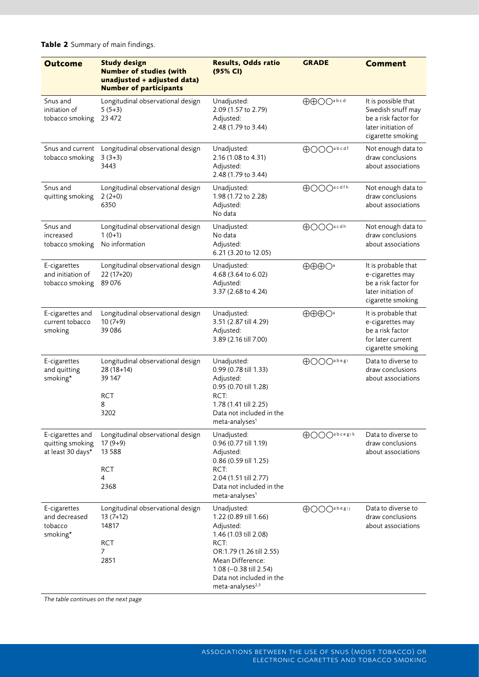| <b>Outcome</b>                                            | <b>Study design</b><br><b>Number of studies (with</b><br>unadjusted + adjusted data)<br><b>Number of participants</b> | <b>Results, Odds ratio</b><br>(95% CI)                                                                                                                                                                                   | <b>GRADE</b>                                 | <b>Comment</b>                                                                                               |
|-----------------------------------------------------------|-----------------------------------------------------------------------------------------------------------------------|--------------------------------------------------------------------------------------------------------------------------------------------------------------------------------------------------------------------------|----------------------------------------------|--------------------------------------------------------------------------------------------------------------|
| Snus and<br>initiation of<br>tobacco smoking              | Longitudinal observational design<br>$5(5+3)$<br>23 472                                                               | Unadjusted:<br>2.09 (1.57 to 2.79)<br>Adjusted:<br>2.48 (1.79 to 3.44)                                                                                                                                                   | <b>AAOO</b> abcd                             | It is possible that<br>Swedish snuff may<br>be a risk factor for<br>later initiation of<br>cigarette smoking |
| Snus and current<br>tobacco smoking                       | Longitudinal observational design<br>$3(3+3)$<br>3443                                                                 | Unadjusted:<br>2.16 (1.08 to 4.31)<br>Adjusted:<br>2.48 (1.79 to 3.44)                                                                                                                                                   | <b>AOOO</b> abcdf                            | Not enough data to<br>draw conclusions<br>about associations                                                 |
| Snus and<br>quitting smoking                              | Longitudinal observational design<br>$2(2+0)$<br>6350                                                                 | Unadjusted:<br>1.98 (1.72 to 2.28)<br>Adjusted:<br>No data                                                                                                                                                               | <b>AOOO</b> acdfh                            | Not enough data to<br>draw conclusions<br>about associations                                                 |
| Snus and<br>increased<br>tobacco smoking                  | Longitudinal observational design<br>$1(0+1)$<br>No information                                                       | Unadjusted:<br>No data<br>Adjusted:<br>6.21 (3.20 to 12.05)                                                                                                                                                              | <b>OOO</b> acdh                              | Not enough data to<br>draw conclusions<br>about associations                                                 |
| E-cigarettes<br>and initiation of<br>tobacco smoking      | Longitudinal observational design<br>22 (17+20)<br>89076                                                              | Unadjusted:<br>4.68 (3.64 to 6.02)<br>Adjusted:<br>3.37 (2.68 to 4.24)                                                                                                                                                   | $\oplus\oplus\oplus$ $\bigcirc$ <sup>a</sup> | It is probable that<br>e-cigarettes may<br>be a risk factor for<br>later initiation of<br>cigarette smoking  |
| E-cigarettes and<br>current tobacco<br>smoking            | Longitudinal observational design<br>$10(7+9)$<br>39086                                                               | Unadjusted:<br>3.51 (2.87 till 4.29)<br>Adjusted:<br>3.89 (2.16 till 7.00)                                                                                                                                               | $\oplus \oplus \oplus \bigcirc$ <sup>a</sup> | It is probable that<br>e-cigarettes may<br>be a risk factor<br>for later current<br>cigarette smoking        |
| E-cigarettes<br>and quitting<br>smoking*                  | Longitudinal observational design<br>28 (18+14)<br>39 147<br><b>RCT</b><br>8<br>3202                                  | Unadjusted:<br>0.99 (0.78 till 1.33)<br>Adjusted:<br>0.95 (0.70 till 1.28)<br>RCT:<br>1.78 (1.41 till 2.25)<br>Data not included in the<br>meta-analyses <sup>1</sup>                                                    | <b>AOOO</b> abegi                            | Data to diverse to<br>draw conclusions<br>about associations                                                 |
| E-cigarettes and<br>quitting smoking<br>at least 30 days* | Longitudinal observational design<br>$17(9+9)$<br>13 5 8 8<br><b>RCT</b><br>4<br>2368                                 | Unadjusted:<br>0.96 (0.77 till 1.19)<br>Adjusted:<br>0.86 (0.59 till 1.25)<br>RCT:<br>2.04 (1.51 till 2.77)<br>Data not included in the<br>meta-analyses <sup>1</sup>                                                    | $\bigoplus$ OO $O^{a\,b\,c\,e\,g\,i\,k}$     | Data to diverse to<br>draw conclusions<br>about associations                                                 |
| E-cigarettes<br>and decreased<br>tobacco<br>smoking*      | Longitudinal observational design<br>$13(7+12)$<br>14817<br><b>RCT</b><br>7<br>2851                                   | Unadjusted:<br>1.22 (0.89 till 1.66)<br>Adjusted:<br>1.46 (1.03 till 2.08)<br>RCT:<br>OR:1.79 (1.26 till 2.55)<br>Mean Difference:<br>1.08 (-0.38 till 2.54)<br>Data not included in the<br>meta-analyses <sup>2,3</sup> | <b>OOO</b> abegij                            | Data to diverse to<br>draw conclusions<br>about associations                                                 |

**Table 2** Summary of main findings.

*The table continues on the next page*